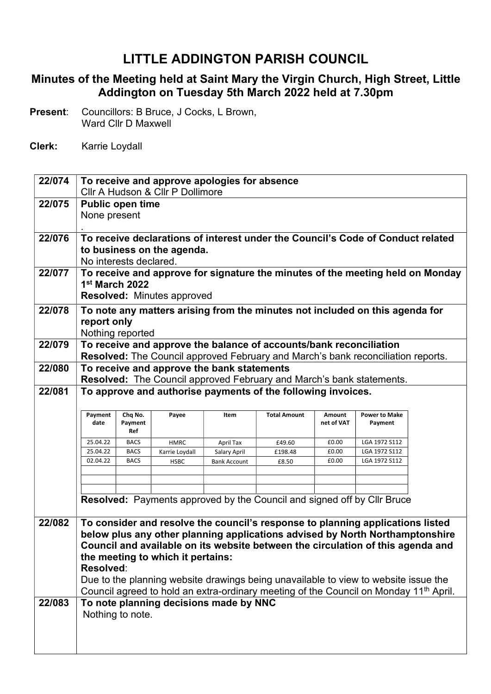## LITTLE ADDINGTON PARISH COUNCIL

## Minutes of the Meeting held at Saint Mary the Virgin Church, High Street, Little Addington on Tuesday 5th March 2022 held at 7.30pm

Present: Councillors: B Bruce, J Cocks, L Brown, Ward Cllr D Maxwell

Clerk: Karrie Loydall

| 22/074 | To receive and approve apologies for absence                                                                      |                    |                                   |                                            |                                                                             |            |                                                                                                                                                                |  |
|--------|-------------------------------------------------------------------------------------------------------------------|--------------------|-----------------------------------|--------------------------------------------|-----------------------------------------------------------------------------|------------|----------------------------------------------------------------------------------------------------------------------------------------------------------------|--|
| 22/075 | Cllr A Hudson & Cllr P Dollimore                                                                                  |                    |                                   |                                            |                                                                             |            |                                                                                                                                                                |  |
|        | <b>Public open time</b><br>None present                                                                           |                    |                                   |                                            |                                                                             |            |                                                                                                                                                                |  |
|        |                                                                                                                   |                    |                                   |                                            |                                                                             |            |                                                                                                                                                                |  |
| 22/076 | To receive declarations of interest under the Council's Code of Conduct related                                   |                    |                                   |                                            |                                                                             |            |                                                                                                                                                                |  |
|        | to business on the agenda.                                                                                        |                    |                                   |                                            |                                                                             |            |                                                                                                                                                                |  |
|        | No interests declared.                                                                                            |                    |                                   |                                            |                                                                             |            |                                                                                                                                                                |  |
| 22/077 | To receive and approve for signature the minutes of the meeting held on Monday<br>1 <sup>st</sup> March 2022      |                    |                                   |                                            |                                                                             |            |                                                                                                                                                                |  |
|        |                                                                                                                   |                    |                                   |                                            |                                                                             |            |                                                                                                                                                                |  |
|        | <b>Resolved: Minutes approved</b><br>To note any matters arising from the minutes not included on this agenda for |                    |                                   |                                            |                                                                             |            |                                                                                                                                                                |  |
| 22/078 |                                                                                                                   |                    |                                   |                                            |                                                                             |            |                                                                                                                                                                |  |
|        | report only                                                                                                       | Nothing reported   |                                   |                                            |                                                                             |            |                                                                                                                                                                |  |
| 22/079 |                                                                                                                   |                    |                                   |                                            | To receive and approve the balance of accounts/bank reconciliation          |            |                                                                                                                                                                |  |
|        |                                                                                                                   |                    |                                   |                                            |                                                                             |            | Resolved: The Council approved February and March's bank reconciliation reports.                                                                               |  |
| 22/080 |                                                                                                                   |                    |                                   | To receive and approve the bank statements |                                                                             |            |                                                                                                                                                                |  |
|        |                                                                                                                   |                    |                                   |                                            | <b>Resolved:</b> The Council approved February and March's bank statements. |            |                                                                                                                                                                |  |
| 22/081 |                                                                                                                   |                    |                                   |                                            | To approve and authorise payments of the following invoices.                |            |                                                                                                                                                                |  |
|        |                                                                                                                   |                    |                                   | Item                                       | <b>Total Amount</b>                                                         | Amount     | <b>Power to Make</b>                                                                                                                                           |  |
|        | Payment<br>date                                                                                                   | Chq No.<br>Payment | Payee                             |                                            |                                                                             | net of VAT | Payment                                                                                                                                                        |  |
|        |                                                                                                                   | Ref                |                                   |                                            |                                                                             |            |                                                                                                                                                                |  |
|        | 25.04.22                                                                                                          | <b>BACS</b>        | <b>HMRC</b>                       | April Tax                                  | £49.60                                                                      | £0.00      | LGA 1972 S112                                                                                                                                                  |  |
|        | 25.04.22                                                                                                          | <b>BACS</b>        | Karrie Loydall                    | Salary April                               | £198.48                                                                     | £0.00      | LGA 1972 S112                                                                                                                                                  |  |
|        | 02.04.22                                                                                                          | <b>BACS</b>        | <b>HSBC</b>                       | <b>Bank Account</b>                        | £8.50                                                                       | £0.00      | LGA 1972 S112                                                                                                                                                  |  |
|        |                                                                                                                   |                    |                                   |                                            |                                                                             |            |                                                                                                                                                                |  |
|        |                                                                                                                   |                    |                                   |                                            |                                                                             |            |                                                                                                                                                                |  |
|        |                                                                                                                   |                    |                                   |                                            |                                                                             |            | Resolved: Payments approved by the Council and signed off by Cllr Bruce                                                                                        |  |
|        |                                                                                                                   |                    |                                   |                                            |                                                                             |            |                                                                                                                                                                |  |
| 22/082 |                                                                                                                   |                    |                                   |                                            |                                                                             |            | To consider and resolve the council's response to planning applications listed<br>below plus any other planning applications advised by North Northamptonshire |  |
|        |                                                                                                                   |                    |                                   |                                            |                                                                             |            | Council and available on its website between the circulation of this agenda and                                                                                |  |
|        |                                                                                                                   |                    | the meeting to which it pertains: |                                            |                                                                             |            |                                                                                                                                                                |  |
|        | Resolved:                                                                                                         |                    |                                   |                                            |                                                                             |            |                                                                                                                                                                |  |
|        |                                                                                                                   |                    |                                   |                                            |                                                                             |            | Due to the planning website drawings being unavailable to view to website issue the                                                                            |  |
|        |                                                                                                                   |                    |                                   |                                            |                                                                             |            | Council agreed to hold an extra-ordinary meeting of the Council on Monday 11 <sup>th</sup> April.                                                              |  |
| 22/083 |                                                                                                                   |                    |                                   | To note planning decisions made by NNC     |                                                                             |            |                                                                                                                                                                |  |
|        |                                                                                                                   | Nothing to note.   |                                   |                                            |                                                                             |            |                                                                                                                                                                |  |
|        |                                                                                                                   |                    |                                   |                                            |                                                                             |            |                                                                                                                                                                |  |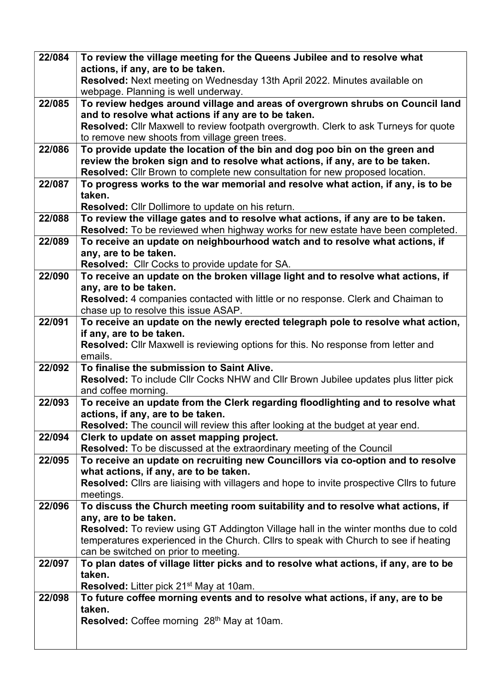| 22/084 | To review the village meeting for the Queens Jubilee and to resolve what                                                             |
|--------|--------------------------------------------------------------------------------------------------------------------------------------|
|        | actions, if any, are to be taken.                                                                                                    |
|        | Resolved: Next meeting on Wednesday 13th April 2022. Minutes available on                                                            |
|        | webpage. Planning is well underway.                                                                                                  |
| 22/085 | To review hedges around village and areas of overgrown shrubs on Council land<br>and to resolve what actions if any are to be taken. |
|        | Resolved: Cllr Maxwell to review footpath overgrowth. Clerk to ask Turneys for quote                                                 |
|        | to remove new shoots from village green trees.                                                                                       |
| 22/086 | To provide update the location of the bin and dog poo bin on the green and                                                           |
|        | review the broken sign and to resolve what actions, if any, are to be taken.                                                         |
|        | Resolved: Cllr Brown to complete new consultation for new proposed location.                                                         |
| 22/087 | To progress works to the war memorial and resolve what action, if any, is to be                                                      |
|        | taken.                                                                                                                               |
|        | <b>Resolved:</b> Cllr Dollimore to update on his return.                                                                             |
| 22/088 | To review the village gates and to resolve what actions, if any are to be taken.                                                     |
|        | Resolved: To be reviewed when highway works for new estate have been completed.                                                      |
| 22/089 | To receive an update on neighbourhood watch and to resolve what actions, if                                                          |
|        | any, are to be taken.                                                                                                                |
|        | <b>Resolved:</b> Cllr Cocks to provide update for SA.                                                                                |
| 22/090 | To receive an update on the broken village light and to resolve what actions, if                                                     |
|        | any, are to be taken.                                                                                                                |
|        | <b>Resolved:</b> 4 companies contacted with little or no response. Clerk and Chaiman to                                              |
|        | chase up to resolve this issue ASAP.                                                                                                 |
| 22/091 | To receive an update on the newly erected telegraph pole to resolve what action,                                                     |
|        | if any, are to be taken.                                                                                                             |
|        | Resolved: Cllr Maxwell is reviewing options for this. No response from letter and                                                    |
|        | emails.                                                                                                                              |
| 22/092 | To finalise the submission to Saint Alive.                                                                                           |
|        | Resolved: To include Cllr Cocks NHW and Cllr Brown Jubilee updates plus litter pick<br>and coffee morning.                           |
| 22/093 | To receive an update from the Clerk regarding floodlighting and to resolve what                                                      |
|        | actions, if any, are to be taken.                                                                                                    |
|        | <b>Resolved:</b> The council will review this after looking at the budget at year end.                                               |
| 22/094 | Clerk to update on asset mapping project.                                                                                            |
|        | Resolved: To be discussed at the extraordinary meeting of the Council                                                                |
| 22/095 | To receive an update on recruiting new Councillors via co-option and to resolve                                                      |
|        | what actions, if any, are to be taken.                                                                                               |
|        | Resolved: Cllrs are liaising with villagers and hope to invite prospective Cllrs to future                                           |
|        | meetings.                                                                                                                            |
| 22/096 | To discuss the Church meeting room suitability and to resolve what actions, if                                                       |
|        | any, are to be taken.                                                                                                                |
|        | <b>Resolved:</b> To review using GT Addington Village hall in the winter months due to cold                                          |
|        | temperatures experienced in the Church. Cllrs to speak with Church to see if heating                                                 |
| 22/097 | can be switched on prior to meeting.<br>To plan dates of village litter picks and to resolve what actions, if any, are to be         |
|        | taken.                                                                                                                               |
|        | Resolved: Litter pick 21 <sup>st</sup> May at 10am.                                                                                  |
| 22/098 | To future coffee morning events and to resolve what actions, if any, are to be                                                       |
|        | taken.                                                                                                                               |
|        | Resolved: Coffee morning 28th May at 10am.                                                                                           |
|        |                                                                                                                                      |
|        |                                                                                                                                      |